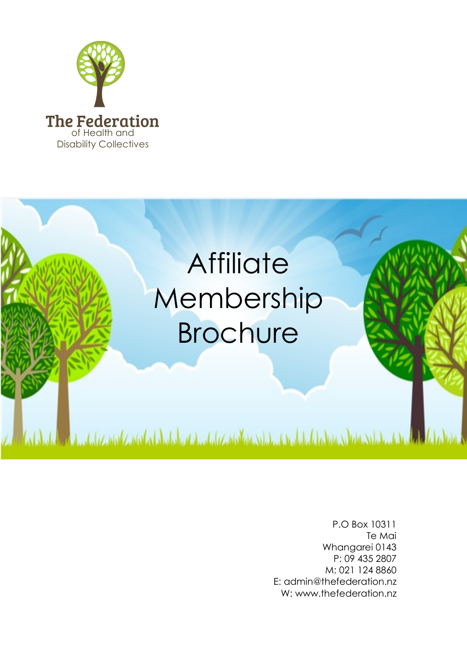



P.O Box 10311 Te Mai Whangarei 0143 P: 09 435 2807 M: 021 124 8860 E: admin@thefederation.nz W: www.thefederation.nz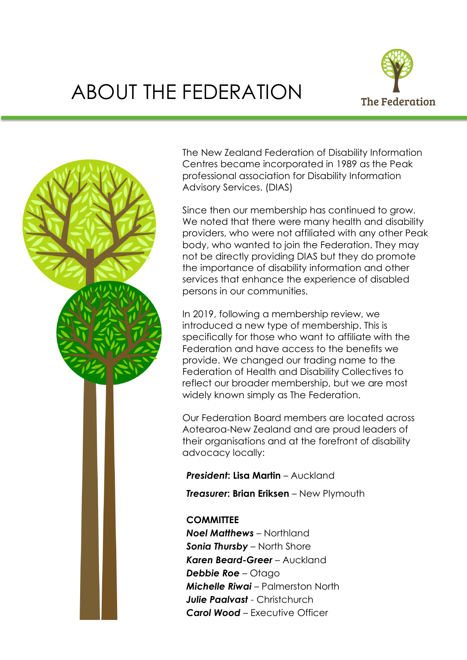## ABOUT THE FEDERATION





The New Zealand Federation of Disability Information Centres became incorporated in 1989 as the Peak professional association for Disability Information Advisory Services. (DIAS)

Since then our membership has continued to grow. We noted that there were many health and disability providers, who were not affiliated with any other Peak body, who wanted to join the Federation. They may not be directly providing DIAS but they do promote the importance of disability information and other services that enhance the experience of disabled persons in our communities.

In 2019, following a membership review, we introduced a new type of membership. This is specifically for those who want to affiliate with the Federation and have access to the benefits we provide. We changed our trading name to the Federation of Health and Disability Collectives to reflect our broader membership, but we are most widely known simply as The Federation.

Our Federation Board members are located across Aotearoa-New Zealand and are proud leaders of their organisations and at the forefront of disability advocacy locally:

*President***: Lisa Martin** – Auckland

*Treasurer***: Brian Eriksen** – New Plymouth

## **COMMITTEE**

*Noel Matthews* – Northland *Sonia Thursby* – North Shore *Karen Beard-Greer* – Auckland *Debbie Roe* – Otago *Michelle Riwai* – Palmerston North *Julie Paalvast* - Christchurch *Carol Wood* – Executive Officer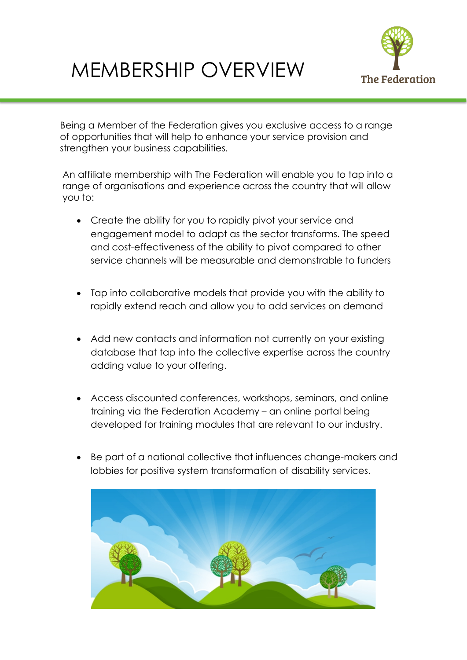## MEMBERSHIP OVERVIEW



Being a Member of the Federation gives you exclusive access to a range of opportunities that will help to enhance your service provision and strengthen your business capabilities.

An affiliate membership with The Federation will enable you to tap into a range of organisations and experience across the country that will allow you to:

- Create the ability for you to rapidly pivot your service and engagement model to adapt as the sector transforms. The speed and cost-effectiveness of the ability to pivot compared to other service channels will be measurable and demonstrable to funders
- Tap into collaborative models that provide you with the ability to rapidly extend reach and allow you to add services on demand
- Add new contacts and information not currently on your existing database that tap into the collective expertise across the country adding value to your offering.
- Access discounted conferences, workshops, seminars, and online training via the Federation Academy – an online portal being developed for training modules that are relevant to our industry.
- Be part of a national collective that influences change-makers and lobbies for positive system transformation of disability services.